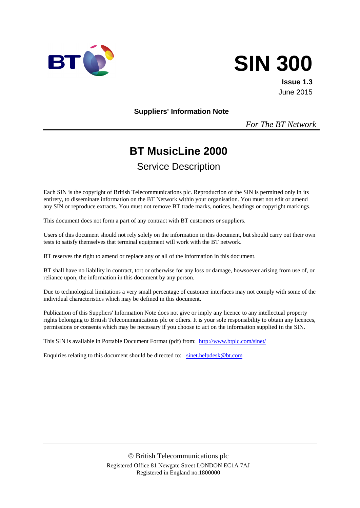

# **SIN 300**

**Issue 1.3** June 2015

**Suppliers' Information Note**

*For The BT Network*

# **BT MusicLine 2000**

# Service Description

Each SIN is the copyright of British Telecommunications plc. Reproduction of the SIN is permitted only in its entirety, to disseminate information on the BT Network within your organisation. You must not edit or amend any SIN or reproduce extracts. You must not remove BT trade marks, notices, headings or copyright markings.

This document does not form a part of any contract with BT customers or suppliers.

Users of this document should not rely solely on the information in this document, but should carry out their own tests to satisfy themselves that terminal equipment will work with the BT network.

BT reserves the right to amend or replace any or all of the information in this document.

BT shall have no liability in contract, tort or otherwise for any loss or damage, howsoever arising from use of, or reliance upon, the information in this document by any person.

Due to technological limitations a very small percentage of customer interfaces may not comply with some of the individual characteristics which may be defined in this document.

Publication of this Suppliers' Information Note does not give or imply any licence to any intellectual property rights belonging to British Telecommunications plc or others. It is your sole responsibility to obtain any licences, permissions or consents which may be necessary if you choose to act on the information supplied in the SIN.

This SIN is available in Portable Document Format (pdf) from: <http://www.btplc.com/sinet/>

Enquiries relating to this document should be directed to: [sinet.helpdesk@bt.com](mailto:sinet.helpdesk@bt.com)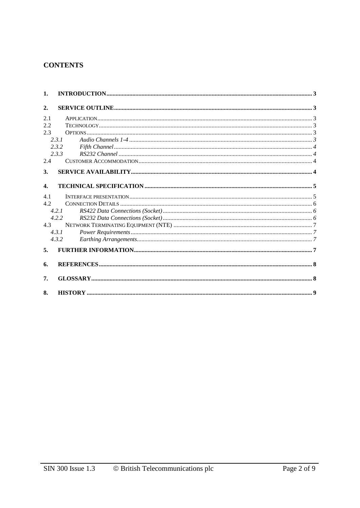# **CONTENTS**

| $\mathbf{1}$ .   |       |  |
|------------------|-------|--|
| 2.               |       |  |
| 2.1              |       |  |
| 2.2              |       |  |
| 2.3              |       |  |
|                  | 2.3.1 |  |
|                  | 2.3.2 |  |
|                  | 2.3.3 |  |
| 2.4              |       |  |
| 3.               |       |  |
|                  |       |  |
| $\overline{4}$ . |       |  |
| 4.1              |       |  |
| 4.2.             |       |  |
|                  | 4.2.1 |  |
|                  | 4.2.2 |  |
| 4.3              |       |  |
|                  | 4.3.1 |  |
|                  | 4.3.2 |  |
| 5 <sub>1</sub>   |       |  |
| 6.               |       |  |
| 7.               |       |  |
| 8.               |       |  |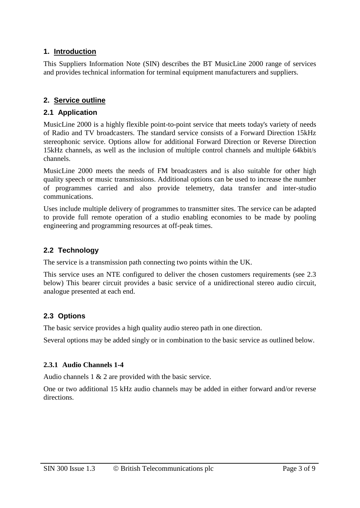# **1. Introduction**

This Suppliers Information Note (SIN) describes the BT MusicLine 2000 range of services and provides technical information for terminal equipment manufacturers and suppliers.

# **2. Service outline**

# **2.1 Application**

MusicLine 2000 is a highly flexible point-to-point service that meets today's variety of needs of Radio and TV broadcasters. The standard service consists of a Forward Direction 15kHz stereophonic service. Options allow for additional Forward Direction or Reverse Direction 15kHz channels, as well as the inclusion of multiple control channels and multiple 64kbit/s channels.

MusicLine 2000 meets the needs of FM broadcasters and is also suitable for other high quality speech or music transmissions. Additional options can be used to increase the number of programmes carried and also provide telemetry, data transfer and inter-studio communications.

Uses include multiple delivery of programmes to transmitter sites. The service can be adapted to provide full remote operation of a studio enabling economies to be made by pooling engineering and programming resources at off-peak times.

# **2.2 Technology**

The service is a transmission path connecting two points within the UK.

This service uses an NTE configured to deliver the chosen customers requirements (see 2.3 below) This bearer circuit provides a basic service of a unidirectional stereo audio circuit, analogue presented at each end.

# **2.3 Options**

The basic service provides a high quality audio stereo path in one direction.

Several options may be added singly or in combination to the basic service as outlined below.

## **2.3.1 Audio Channels 1-4**

Audio channels 1 & 2 are provided with the basic service.

One or two additional 15 kHz audio channels may be added in either forward and/or reverse directions.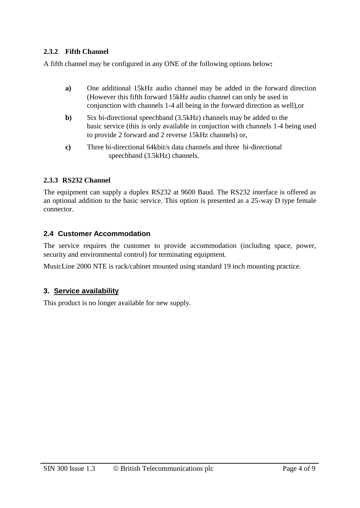# **2.3.2 Fifth Channel**

A fifth channel may be configured in any ONE of the following options below**:**

- **a)** One additional 15kHz audio channel may be added in the forward direction (However this fifth forward 15kHz audio channel can only be used in conjunction with channels 1-4 all being in the forward direction as well),or
- **b)** Six bi-directional speechband (3.5kHz) channels may be added to the basic service (this is only available in conjuction with channels 1-4 being used to provide 2 forward and 2 reverse 15kHz channels) or,
- **c)** Three bi-directional 64kbit/s data channels and three bi-directional speechband (3.5kHz) channels.

## **2.3.3 RS232 Channel**

The equipment can supply a duplex RS232 at 9600 Baud. The RS232 interface is offered as an optional addition to the basic service. This option is presented as a 25-way D type female connector.

# **2.4 Customer Accommodation**

The service requires the customer to provide accommodation (including space, power, security and environmental control) for terminating equipment.

MusicLine 2000 NTE is rack/cabinet mounted using standard 19 inch mounting practice.

## **3. Service availability**

This product is no longer available for new supply.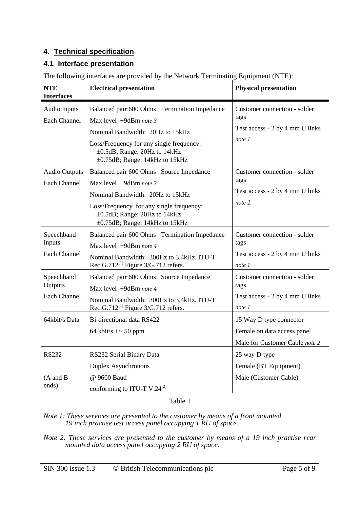# **4. Technical specification**

# **4.1 Interface presentation**

| <b>NTE</b><br><b>Interfaces</b>               | <b>Electrical presentation</b>                                                                                                                                                                                           | <b>Physical presentation</b>                                                             |
|-----------------------------------------------|--------------------------------------------------------------------------------------------------------------------------------------------------------------------------------------------------------------------------|------------------------------------------------------------------------------------------|
| <b>Audio Inputs</b><br><b>Each Channel</b>    | Balanced pair 600 Ohms Termination Impedance<br>Max level +9dBm note 3<br>Nominal Bandwidth: 20Hz to 15kHz<br>Loss/Frequency for any single frequency:<br>±0.5dB; Range: 20Hz to 14kHz<br>±0.75dB; Range: 14kHz to 15kHz | Customer connection - solder<br>tags<br>Test access - 2 by 4 mm U links<br>note 1        |
| <b>Audio Outputs</b><br><b>Each Channel</b>   | Balanced pair 600 Ohms Source Impedance<br>Max level +9dBm note 3<br>Nominal Bandwidth: 20Hz to 15kHz<br>Loss/Frequency for any single frequency:<br>±0.5dB; Range: 20Hz to 14kHz<br>±0.75dB; Range: 14kHz to 15kHz      | Customer connection - solder<br>tags<br>Test access - 2 by 4 mm U links<br>note 1        |
| Speechband<br>Inputs<br><b>Each Channel</b>   | Balanced pair 600 Ohms Termination Impedance<br>Max level $+9d$ Bm note 4<br>Nominal Bandwidth: 300Hz to 3.4kHz. ITU-T<br>Rec.G.712 <sup>[1]</sup> Figure $3/G.712$ refers.                                              | Customer connection - solder<br>tags<br>Test access - 2 by 4 mm U links<br>note 1        |
| Speechband<br>Outputs<br><b>Each Channel</b>  | Balanced pair 600 Ohms Source Impedance<br>Max level +9dBm note 4<br>Nominal Bandwidth: 300Hz to 3.4kHz. ITU-T<br>Rec.G.712 <sup>[1]</sup> Figure $3/G.712$ refers.                                                      | Customer connection - solder<br>tags<br>Test access - 2 by 4 mm U links<br>note 1        |
| 64kbit/s Data                                 | Bi-directional data RS422<br>64 kbit/s $+/- 50$ ppm                                                                                                                                                                      | 15 Way D type connector<br>Female on data access panel<br>Male for Customer Cable note 2 |
| <b>RS232</b><br>$(A \text{ and } B)$<br>ends) | RS232 Serial Binary Data<br>Duplex Asynchronous<br>@ 9600 Baud<br>conforming to ITU-T V.24 <sup>[2]</sup>                                                                                                                | 25 way D-type<br>Female (BT Equipment)<br>Male (Customer Cable)                          |

The following interfaces are provided by the Network Terminating Equipment (NTE):

Table 1

*Note 1: These services are presented to the customer by means of a front mounted 19 inch practise test access panel occupying 1 RU of space.*

*Note 2: These services are presented to the customer by means of a 19 inch practise rear mounted data access panel occupying 2 RU of space.*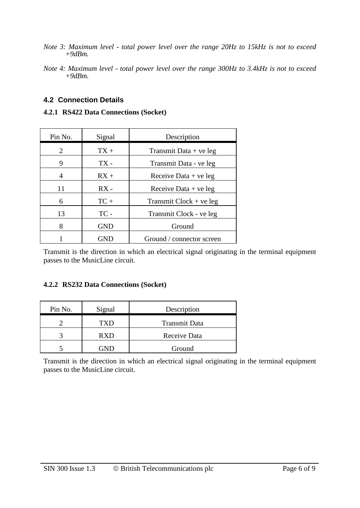- *Note 3: Maximum level - total power level over the range 20Hz to 15kHz is not to exceed +9dBm.*
- *Note 4: Maximum level - total power level over the range 300Hz to 3.4kHz is not to exceed +9dBm.*

# **4.2 Connection Details**

## **4.2.1 RS422 Data Connections (Socket)**

| Pin No. | Signal     | Description               |
|---------|------------|---------------------------|
| 2       | $TX +$     | Transmit Data $+$ ve leg  |
| 9       | $TX -$     | Transmit Data - ve leg    |
| 4       | $RX +$     | Receive Data $+$ ve leg   |
| 11      | $RX -$     | Receive Data $+$ ve leg   |
| 6       | $TC +$     | Transmit $Clock + ve leg$ |
| 13      | TC-        | Transmit Clock - ve leg   |
| 8       | <b>GND</b> | Ground                    |
|         |            | Ground / connector screen |

Transmit is the direction in which an electrical signal originating in the terminal equipment passes to the MusicLine circuit.

## **4.2.2 RS232 Data Connections (Socket)**

| Pin No. | Signal     | Description          |
|---------|------------|----------------------|
|         | TXD        | <b>Transmit Data</b> |
|         | <b>RXD</b> | Receive Data         |
|         | ÷ND        | Ground               |

Transmit is the direction in which an electrical signal originating in the terminal equipment passes to the MusicLine circuit.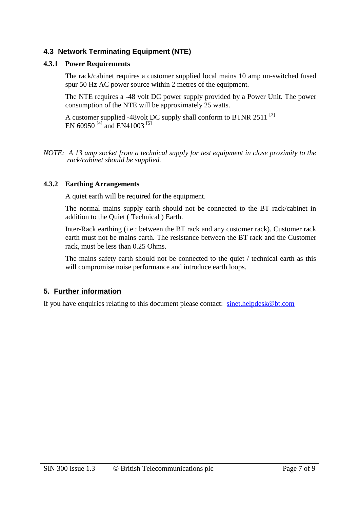# **4.3 Network Terminating Equipment (NTE)**

# **4.3.1 Power Requirements**

The rack/cabinet requires a customer supplied local mains 10 amp un-switched fused spur 50 Hz AC power source within 2 metres of the equipment.

The NTE requires a -48 volt DC power supply provided by a Power Unit. The power consumption of the NTE will be approximately 25 watts.

A customer supplied -48volt DC supply shall conform to BTNR 2511  $^{[3]}$ EN 60950<sup>[4]</sup> and EN41003<sup>[5]</sup>

*NOTE: A 13 amp socket from a technical supply for test equipment in close proximity to the rack/cabinet should be supplied.*

## **4.3.2 Earthing Arrangements**

A quiet earth will be required for the equipment.

The normal mains supply earth should not be connected to the BT rack/cabinet in addition to the Quiet ( Technical ) Earth.

Inter-Rack earthing (i.e.: between the BT rack and any customer rack). Customer rack earth must not be mains earth. The resistance between the BT rack and the Customer rack, must be less than 0.25 Ohms.

The mains safety earth should not be connected to the quiet / technical earth as this will compromise noise performance and introduce earth loops.

# **5. Further information**

If you have enquiries relating to this document please contact: [sinet.helpdesk@bt.com](mailto:sinet.helpdesk@bt.com)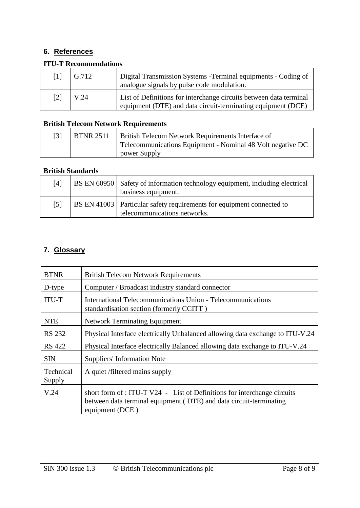# **6. References**

# **ITU-T Recommendations**

| $\lceil 1 \rceil$ | G.712 | Digital Transmission Systems - Terminal equipments - Coding of<br>analogue signals by pulse code modulation.                       |
|-------------------|-------|------------------------------------------------------------------------------------------------------------------------------------|
| $[2]$             | V.24  | List of Definitions for interchange circuits between data terminal<br>equipment (DTE) and data circuit-terminating equipment (DCE) |

# **British Telecom Network Requirements**

| <b>BTNR 2511</b> | <b>British Telecom Network Requirements Interface of</b>   |
|------------------|------------------------------------------------------------|
|                  | Telecommunications Equipment - Nominal 48 Volt negative DC |
|                  | power Supply                                               |

# **British Standards**

| [4]               | BS EN 60950   Safety of information technology equipment, including electrical<br>business equipment.   |
|-------------------|---------------------------------------------------------------------------------------------------------|
| $\lceil 5 \rceil$ | BS EN 41003   Particular safety requirements for equipment connected to<br>telecommunications networks. |

# **7. Glossary**

| <b>BTNR</b>         | <b>British Telecom Network Requirements</b>                                                                                                                       |
|---------------------|-------------------------------------------------------------------------------------------------------------------------------------------------------------------|
| D-type              | Computer / Broadcast industry standard connector                                                                                                                  |
| <b>ITU-T</b>        | International Telecommunications Union - Telecommunications<br>standardisation section (formerly CCITT)                                                           |
| <b>NTE</b>          | <b>Network Terminating Equipment</b>                                                                                                                              |
| <b>RS 232</b>       | Physical Interface electrically Unbalanced allowing data exchange to ITU-V.24                                                                                     |
| <b>RS</b> 422       | Physical Interface electrically Balanced allowing data exchange to ITU-V.24                                                                                       |
| <b>SIN</b>          | <b>Suppliers' Information Note</b>                                                                                                                                |
| Technical<br>Supply | A quiet /filtered mains supply                                                                                                                                    |
| V.24                | short form of : ITU-T V24 - List of Definitions for interchange circuits<br>between data terminal equipment (DTE) and data circuit-terminating<br>equipment (DCE) |